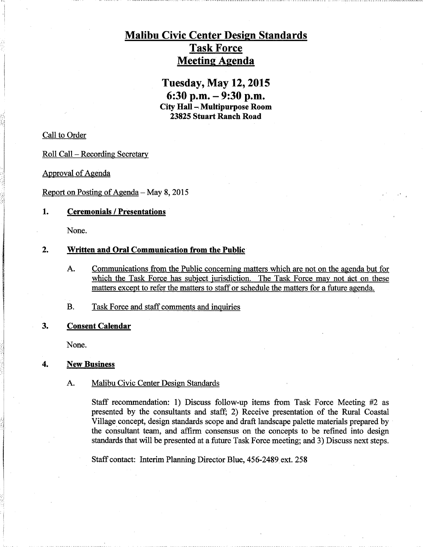# Malibu Civic Center Design Standards Task Force Meeting Agenda

Tuesday, May 12, 2015 6:30 p.m. — 9:30 p.m. City Ha11—Multipurpose Room 23825 Stuart Ranch Road

Call to Order

Roll Call —Recording Secretary

Approval of Agenda

Report on Posting of Agenda  $-$  May 8, 2015

## 1. Ceremonials /Presentations

None.

## 2. Written and Oral Communication from the Public

A. Communications from the Public concerning matters which are not on the agenda but for which the Task Force has subject jurisdiction. The Task Force may not act on these matters except to refer the matters to staff or schedule the matters for a future agenda.

B. Task Force and staff comments and inquiries

## 3. Consent Calendar

None.

#### 4. New Business

### A. Malibu Civic Center Design Standards

Staff recommendation: 1) Discuss follow-up items from Task Force Meeting #2 as presented by the consultants and staff; 2) Receive presentation of the Rural Coastal Village concept, design standards scope and draft landscape palette materials prepared by the consultant team, and affirm consensus on the concepts to be refined into design standards that will be presented at a future Task Force meeting; and 3) Discuss next steps.

Staff contact: Interim Planning Director Blue, 456-2489 ext. 258